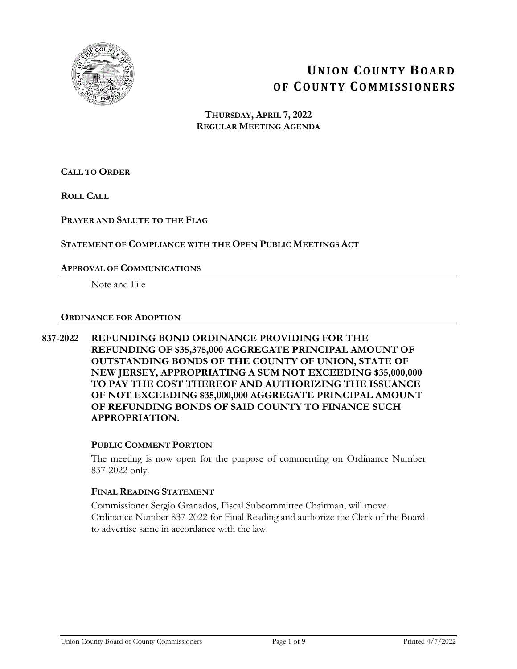

# **UNION COUNTY BOARD OF COUNTY COMMISSIONERS**

**THURSDAY, APRIL 7, 2022 REGULAR MEETING AGENDA**

**CALL TO ORDER**

**ROLL CALL**

**PRAYER AND SALUTE TO THE FLAG**

# **STATEMENT OF COMPLIANCE WITH THE OPEN PUBLIC MEETINGS ACT**

# **APPROVAL OF COMMUNICATIONS**

Note and File

#### **ORDINANCE FOR ADOPTION**

**837-2022 REFUNDING BOND ORDINANCE PROVIDING FOR THE REFUNDING OF \$35,375,000 AGGREGATE PRINCIPAL AMOUNT OF OUTSTANDING BONDS OF THE COUNTY OF UNION, STATE OF NEW JERSEY, APPROPRIATING A SUM NOT EXCEEDING \$35,000,000 TO PAY THE COST THEREOF AND AUTHORIZING THE ISSUANCE OF NOT EXCEEDING \$35,000,000 AGGREGATE PRINCIPAL AMOUNT OF REFUNDING BONDS OF SAID COUNTY TO FINANCE SUCH APPROPRIATION.** 

# **PUBLIC COMMENT PORTION**

The meeting is now open for the purpose of commenting on Ordinance Number 837-2022 only.

#### **FINAL READING STATEMENT**

Commissioner Sergio Granados, Fiscal Subcommittee Chairman, will move Ordinance Number 837-2022 for Final Reading and authorize the Clerk of the Board to advertise same in accordance with the law.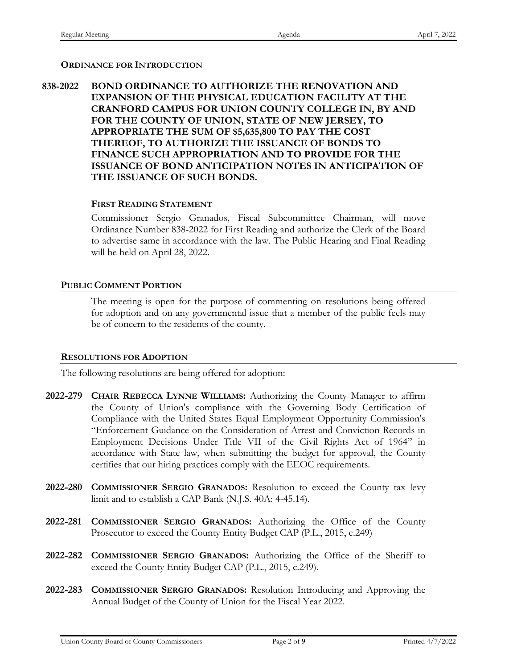#### **ORDINANCE FOR INTRODUCTION**

# **838-2022 BOND ORDINANCE TO AUTHORIZE THE RENOVATION AND EXPANSION OF THE PHYSICAL EDUCATION FACILITY AT THE CRANFORD CAMPUS FOR UNION COUNTY COLLEGE IN, BY AND FOR THE COUNTY OF UNION, STATE OF NEW JERSEY, TO APPROPRIATE THE SUM OF \$5,635,800 TO PAY THE COST THEREOF, TO AUTHORIZE THE ISSUANCE OF BONDS TO FINANCE SUCH APPROPRIATION AND TO PROVIDE FOR THE ISSUANCE OF BOND ANTICIPATION NOTES IN ANTICIPATION OF THE ISSUANCE OF SUCH BONDS.**

#### **FIRST READING STATEMENT**

Commissioner Sergio Granados, Fiscal Subcommittee Chairman, will move Ordinance Number 838-2022 for First Reading and authorize the Clerk of the Board to advertise same in accordance with the law. The Public Hearing and Final Reading will be held on April 28, 2022.

#### **PUBLIC COMMENT PORTION**

The meeting is open for the purpose of commenting on resolutions being offered for adoption and on any governmental issue that a member of the public feels may be of concern to the residents of the county.

#### **RESOLUTIONS FOR ADOPTION**

The following resolutions are being offered for adoption:

- **2022-279 CHAIR REBECCA LYNNE WILLIAMS:** Authorizing the County Manager to affirm the County of Union's compliance with the Governing Body Certification of Compliance with the United States Equal Employment Opportunity Commission's "Enforcement Guidance on the Consideration of Arrest and Conviction Records in Employment Decisions Under Title VII of the Civil Rights Act of 1964" in accordance with State law, when submitting the budget for approval, the County certifies that our hiring practices comply with the EEOC requirements.
- **2022-280 COMMISSIONER SERGIO GRANADOS:** Resolution to exceed the County tax levy limit and to establish a CAP Bank (N.J.S. 40A: 4-45.14).
- **2022-281 COMMISSIONER SERGIO GRANADOS:** Authorizing the Office of the County Prosecutor to exceed the County Entity Budget CAP (P.L., 2015, c.249)
- **2022-282 COMMISSIONER SERGIO GRANADOS:** Authorizing the Office of the Sheriff to exceed the County Entity Budget CAP (P.L., 2015, c.249).
- **2022-283 COMMISSIONER SERGIO GRANADOS:** Resolution Introducing and Approving the Annual Budget of the County of Union for the Fiscal Year 2022.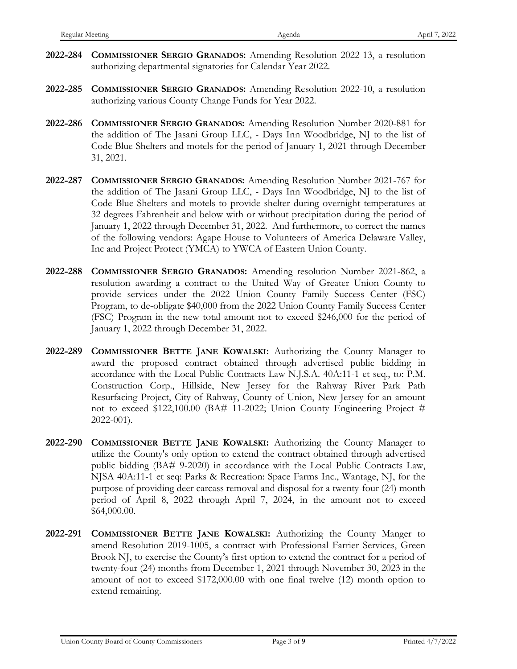- **2022-284 COMMISSIONER SERGIO GRANADOS:** Amending Resolution 2022-13, a resolution authorizing departmental signatories for Calendar Year 2022.
- **2022-285 COMMISSIONER SERGIO GRANADOS:** Amending Resolution 2022-10, a resolution authorizing various County Change Funds for Year 2022.
- **2022-286 COMMISSIONER SERGIO GRANADOS:** Amending Resolution Number 2020-881 for the addition of The Jasani Group LLC, - Days Inn Woodbridge, NJ to the list of Code Blue Shelters and motels for the period of January 1, 2021 through December 31, 2021.
- **2022-287 COMMISSIONER SERGIO GRANADOS:** Amending Resolution Number 2021-767 for the addition of The Jasani Group LLC, - Days Inn Woodbridge, NJ to the list of Code Blue Shelters and motels to provide shelter during overnight temperatures at 32 degrees Fahrenheit and below with or without precipitation during the period of January 1, 2022 through December 31, 2022. And furthermore, to correct the names of the following vendors: Agape House to Volunteers of America Delaware Valley, Inc and Project Protect (YMCA) to YWCA of Eastern Union County.
- **2022-288 COMMISSIONER SERGIO GRANADOS:** Amending resolution Number 2021-862, a resolution awarding a contract to the United Way of Greater Union County to provide services under the 2022 Union County Family Success Center (FSC) Program, to de-obligate \$40,000 from the 2022 Union County Family Success Center (FSC) Program in the new total amount not to exceed \$246,000 for the period of January 1, 2022 through December 31, 2022.
- **2022-289 COMMISSIONER BETTE JANE KOWALSKI:** Authorizing the County Manager to award the proposed contract obtained through advertised public bidding in accordance with the Local Public Contracts Law N.J.S.A. 40A:11-1 et seq., to: P.M. Construction Corp., Hillside, New Jersey for the Rahway River Park Path Resurfacing Project, City of Rahway, County of Union, New Jersey for an amount not to exceed \$122,100.00 (BA# 11-2022; Union County Engineering Project # 2022-001).
- **2022-290 COMMISSIONER BETTE JANE KOWALSKI:** Authorizing the County Manager to utilize the County's only option to extend the contract obtained through advertised public bidding (BA# 9-2020) in accordance with the Local Public Contracts Law, NJSA 40A:11-1 et seq: Parks & Recreation: Space Farms Inc., Wantage, NJ, for the purpose of providing deer carcass removal and disposal for a twenty-four (24) month period of April 8, 2022 through April 7, 2024, in the amount not to exceed \$64,000.00.
- **2022-291 COMMISSIONER BETTE JANE KOWALSKI:** Authorizing the County Manger to amend Resolution 2019-1005, a contract with Professional Farrier Services, Green Brook NJ, to exercise the County's first option to extend the contract for a period of twenty-four (24) months from December 1, 2021 through November 30, 2023 in the amount of not to exceed \$172,000.00 with one final twelve (12) month option to extend remaining.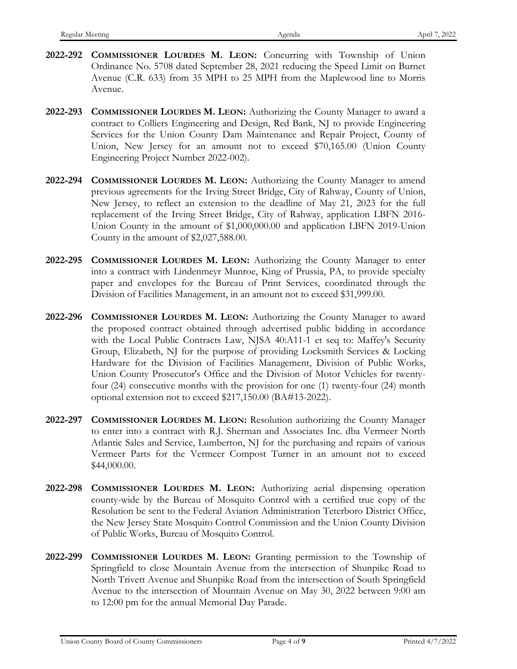- **2022-292 COMMISSIONER LOURDES M. LEON:** Concurring with Township of Union Ordinance No. 5708 dated September 28, 2021 reducing the Speed Limit on Burnet Avenue (C.R. 633) from 35 MPH to 25 MPH from the Maplewood line to Morris Avenue.
- **2022-293 COMMISSIONER LOURDES M. LEON:** Authorizing the County Manager to award a contract to Colliers Engineering and Design, Red Bank, NJ to provide Engineering Services for the Union County Dam Maintenance and Repair Project, County of Union, New Jersey for an amount not to exceed \$70,165.00 (Union County Engineering Project Number 2022-002).
- **2022-294 COMMISSIONER LOURDES M. LEON:** Authorizing the County Manager to amend previous agreements for the Irving Street Bridge, City of Rahway, County of Union, New Jersey, to reflect an extension to the deadline of May 21, 2023 for the full replacement of the Irving Street Bridge, City of Rahway, application LBFN 2016- Union County in the amount of \$1,000,000.00 and application LBFN 2019-Union County in the amount of \$2,027,588.00.
- **2022-295 COMMISSIONER LOURDES M. LEON:** Authorizing the County Manager to enter into a contract with Lindenmeyr Munroe, King of Prussia, PA, to provide specialty paper and envelopes for the Bureau of Print Services, coordinated through the Division of Facilities Management, in an amount not to exceed \$31,999.00.
- **2022-296 COMMISSIONER LOURDES M. LEON:** Authorizing the County Manager to award the proposed contract obtained through advertised public bidding in accordance with the Local Public Contracts Law, NJSA 40:A11-1 et seq to: Maffey's Security Group, Elizabeth, NJ for the purpose of providing Locksmith Services & Locking Hardware for the Division of Facilities Management, Division of Public Works, Union County Prosecutor's Office and the Division of Motor Vehicles for twentyfour (24) consecutive months with the provision for one (1) twenty-four (24) month optional extension not to exceed \$217,150.00 (BA#13-2022).
- **2022-297 COMMISSIONER LOURDES M. LEON:** Resolution authorizing the County Manager to enter into a contract with R.J. Sherman and Associates Inc. dba Vermeer North Atlantic Sales and Service, Lumberton, NJ for the purchasing and repairs of various Vermeer Parts for the Vermeer Compost Turner in an amount not to exceed \$44,000.00.
- **2022-298 COMMISSIONER LOURDES M. LEON:** Authorizing aerial dispensing operation county-wide by the Bureau of Mosquito Control with a certified true copy of the Resolution be sent to the Federal Aviation Administration Teterboro District Office, the New Jersey State Mosquito Control Commission and the Union County Division of Public Works, Bureau of Mosquito Control.
- **2022-299 COMMISSIONER LOURDES M. LEON:** Granting permission to the Township of Springfield to close Mountain Avenue from the intersection of Shunpike Road to North Trivett Avenue and Shunpike Road from the intersection of South Springfield Avenue to the intersection of Mountain Avenue on May 30, 2022 between 9:00 am to 12:00 pm for the annual Memorial Day Parade.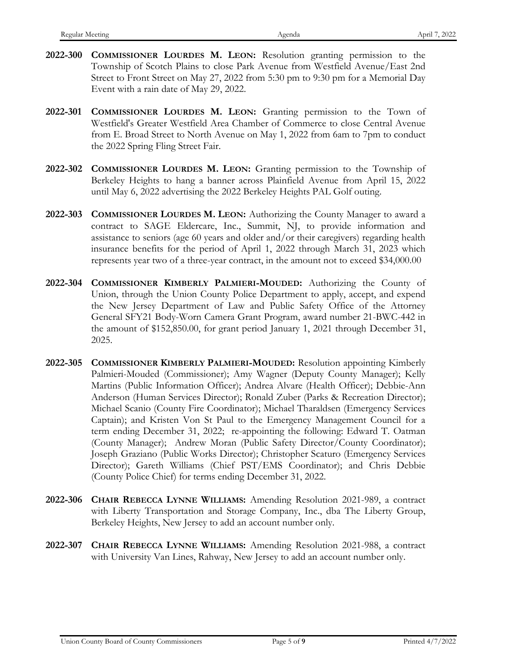- **2022-300 COMMISSIONER LOURDES M. LEON:** Resolution granting permission to the Township of Scotch Plains to close Park Avenue from Westfield Avenue/East 2nd Street to Front Street on May 27, 2022 from 5:30 pm to 9:30 pm for a Memorial Day Event with a rain date of May 29, 2022.
- **2022-301 COMMISSIONER LOURDES M. LEON:** Granting permission to the Town of Westfield's Greater Westfield Area Chamber of Commerce to close Central Avenue from E. Broad Street to North Avenue on May 1, 2022 from 6am to 7pm to conduct the 2022 Spring Fling Street Fair.
- **2022-302 COMMISSIONER LOURDES M. LEON:** Granting permission to the Township of Berkeley Heights to hang a banner across Plainfield Avenue from April 15, 2022 until May 6, 2022 advertising the 2022 Berkeley Heights PAL Golf outing.
- **2022-303 COMMISSIONER LOURDES M. LEON:** Authorizing the County Manager to award a contract to SAGE Eldercare, Inc., Summit, NJ, to provide information and assistance to seniors (age 60 years and older and/or their caregivers) regarding health insurance benefits for the period of April 1, 2022 through March 31, 2023 which represents year two of a three-year contract, in the amount not to exceed \$34,000.00
- **2022-304 COMMISSIONER KIMBERLY PALMIERI-MOUDED:** Authorizing the County of Union, through the Union County Police Department to apply, accept, and expend the New Jersey Department of Law and Public Safety Office of the Attorney General SFY21 Body-Worn Camera Grant Program, award number 21-BWC-442 in the amount of \$152,850.00, for grant period January 1, 2021 through December 31, 2025.
- **2022-305 COMMISSIONER KIMBERLY PALMIERI-MOUDED:** Resolution appointing Kimberly Palmieri-Mouded (Commissioner); Amy Wagner (Deputy County Manager); Kelly Martins (Public Information Officer); Andrea Alvare (Health Officer); Debbie-Ann Anderson (Human Services Director); Ronald Zuber (Parks & Recreation Director); Michael Scanio (County Fire Coordinator); Michael Tharaldsen (Emergency Services Captain); and Kristen Von St Paul to the Emergency Management Council for a term ending December 31, 2022; re-appointing the following: Edward T. Oatman (County Manager); Andrew Moran (Public Safety Director/County Coordinator); Joseph Graziano (Public Works Director); Christopher Scaturo (Emergency Services Director); Gareth Williams (Chief PST/EMS Coordinator); and Chris Debbie (County Police Chief) for terms ending December 31, 2022.
- **2022-306 CHAIR REBECCA LYNNE WILLIAMS:** Amending Resolution 2021-989, a contract with Liberty Transportation and Storage Company, Inc., dba The Liberty Group, Berkeley Heights, New Jersey to add an account number only.
- **2022-307 CHAIR REBECCA LYNNE WILLIAMS:** Amending Resolution 2021-988, a contract with University Van Lines, Rahway, New Jersey to add an account number only.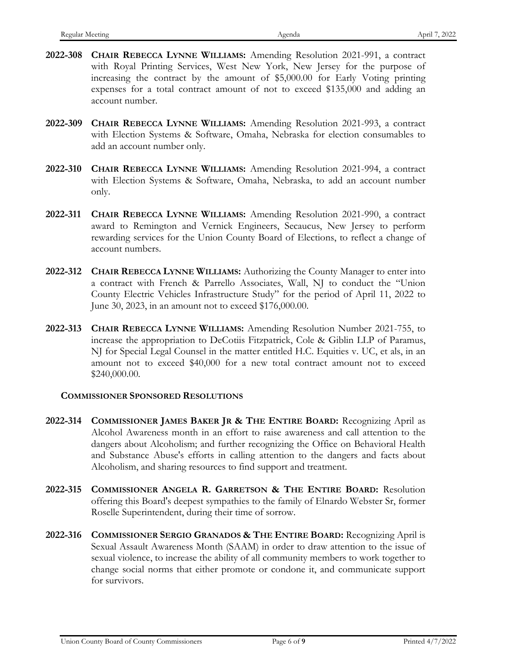- **2022-308 CHAIR REBECCA LYNNE WILLIAMS:** Amending Resolution 2021-991, a contract with Royal Printing Services, West New York, New Jersey for the purpose of increasing the contract by the amount of \$5,000.00 for Early Voting printing expenses for a total contract amount of not to exceed \$135,000 and adding an account number.
- **2022-309 CHAIR REBECCA LYNNE WILLIAMS:** Amending Resolution 2021-993, a contract with Election Systems & Software, Omaha, Nebraska for election consumables to add an account number only.
- **2022-310 CHAIR REBECCA LYNNE WILLIAMS:** Amending Resolution 2021-994, a contract with Election Systems & Software, Omaha, Nebraska, to add an account number only.
- **2022-311 CHAIR REBECCA LYNNE WILLIAMS:** Amending Resolution 2021-990, a contract award to Remington and Vernick Engineers, Secaucus, New Jersey to perform rewarding services for the Union County Board of Elections, to reflect a change of account numbers.
- **2022-312 CHAIR REBECCA LYNNE WILLIAMS:** Authorizing the County Manager to enter into a contract with French & Parrello Associates, Wall, NJ to conduct the "Union County Electric Vehicles Infrastructure Study" for the period of April 11, 2022 to June 30, 2023, in an amount not to exceed \$176,000.00.
- **2022-313 CHAIR REBECCA LYNNE WILLIAMS:** Amending Resolution Number 2021-755, to increase the appropriation to DeCotiis Fitzpatrick, Cole & Giblin LLP of Paramus, NJ for Special Legal Counsel in the matter entitled H.C. Equities v. UC, et als, in an amount not to exceed \$40,000 for a new total contract amount not to exceed \$240,000.00.

# **COMMISSIONER SPONSORED RESOLUTIONS**

- **2022-314 COMMISSIONER JAMES BAKER JR & THE ENTIRE BOARD:** Recognizing April as Alcohol Awareness month in an effort to raise awareness and call attention to the dangers about Alcoholism; and further recognizing the Office on Behavioral Health and Substance Abuse's efforts in calling attention to the dangers and facts about Alcoholism, and sharing resources to find support and treatment.
- **2022-315 COMMISSIONER ANGELA R. GARRETSON & THE ENTIRE BOARD:** Resolution offering this Board's deepest sympathies to the family of Elnardo Webster Sr, former Roselle Superintendent, during their time of sorrow.
- **2022-316 COMMISSIONER SERGIO GRANADOS & THE ENTIRE BOARD:** Recognizing April is Sexual Assault Awareness Month (SAAM) in order to draw attention to the issue of sexual violence, to increase the ability of all community members to work together to change social norms that either promote or condone it, and communicate support for survivors.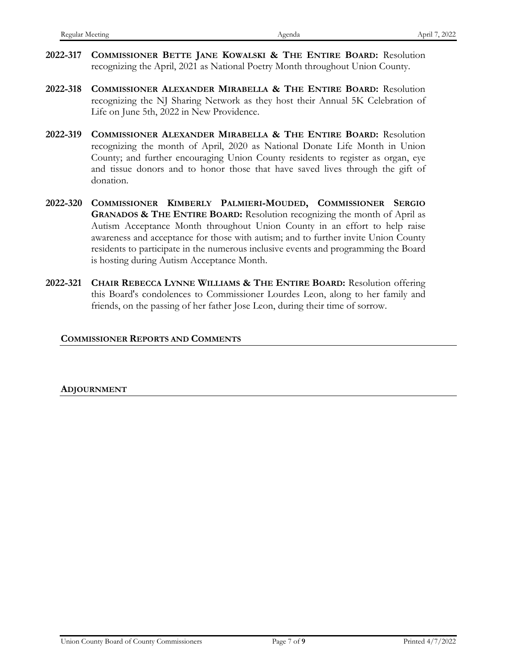- **2022-317 COMMISSIONER BETTE JANE KOWALSKI & THE ENTIRE BOARD:** Resolution recognizing the April, 2021 as National Poetry Month throughout Union County.
- **2022-318 COMMISSIONER ALEXANDER MIRABELLA & THE ENTIRE BOARD:** Resolution recognizing the NJ Sharing Network as they host their Annual 5K Celebration of Life on June 5th, 2022 in New Providence.
- **2022-319 COMMISSIONER ALEXANDER MIRABELLA & THE ENTIRE BOARD:** Resolution recognizing the month of April, 2020 as National Donate Life Month in Union County; and further encouraging Union County residents to register as organ, eye and tissue donors and to honor those that have saved lives through the gift of donation.
- **2022-320 COMMISSIONER KIMBERLY PALMIERI-MOUDED, COMMISSIONER SERGIO GRANADOS & THE ENTIRE BOARD:** Resolution recognizing the month of April as Autism Acceptance Month throughout Union County in an effort to help raise awareness and acceptance for those with autism; and to further invite Union County residents to participate in the numerous inclusive events and programming the Board is hosting during Autism Acceptance Month.
- **2022-321 CHAIR REBECCA LYNNE WILLIAMS & THE ENTIRE BOARD:** Resolution offering this Board's condolences to Commissioner Lourdes Leon, along to her family and friends, on the passing of her father Jose Leon, during their time of sorrow.

#### **COMMISSIONER REPORTS AND COMMENTS**

**ADJOURNMENT**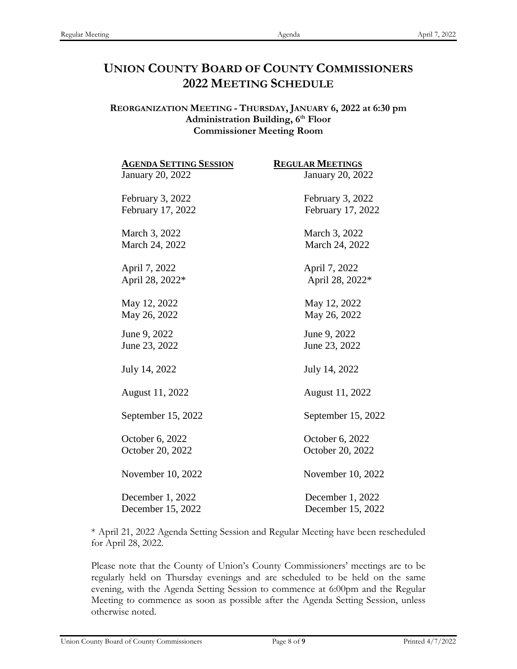# **UNION COUNTY BOARD OF COUNTY COMMISSIONERS 2022 MEETING SCHEDULE**

# **REORGANIZATION MEETING - THURSDAY, JANUARY 6, 2022 at 6:30 pm** Administration Building, 6<sup>th</sup> Floor **Commissioner Meeting Room**

| <b>AGENDA SETTING SESSION</b> | <b>REGULAR MEETINGS</b> |
|-------------------------------|-------------------------|
| January 20, 2022              | January 20, 2022        |
| February 3, 2022              | February 3, 2022        |
| February 17, 2022             | February 17, 2022       |
| March 3, 2022                 | March 3, 2022           |
| March 24, 2022                | March 24, 2022          |
| April 7, 2022                 | April 7, 2022           |
| April 28, 2022*               | April 28, 2022*         |
| May 12, 2022                  | May 12, 2022            |
| May 26, 2022                  | May 26, 2022            |
| June 9, 2022                  | June 9, 2022            |
| June 23, 2022                 | June 23, 2022           |
| July 14, 2022                 | July 14, 2022           |
| August 11, 2022               | August 11, 2022         |
| September 15, 2022            | September 15, 2022      |
| October 6, 2022               | October 6, 2022         |
| October 20, 2022              | October 20, 2022        |
| November 10, 2022             | November 10, 2022       |
| December 1, 2022              | December 1, 2022        |
| December 15, 2022             | December 15, 2022       |

\* April 21, 2022 Agenda Setting Session and Regular Meeting have been rescheduled for April 28, 2022.

Please note that the County of Union's County Commissioners' meetings are to be regularly held on Thursday evenings and are scheduled to be held on the same evening, with the Agenda Setting Session to commence at 6:00pm and the Regular Meeting to commence as soon as possible after the Agenda Setting Session, unless otherwise noted.